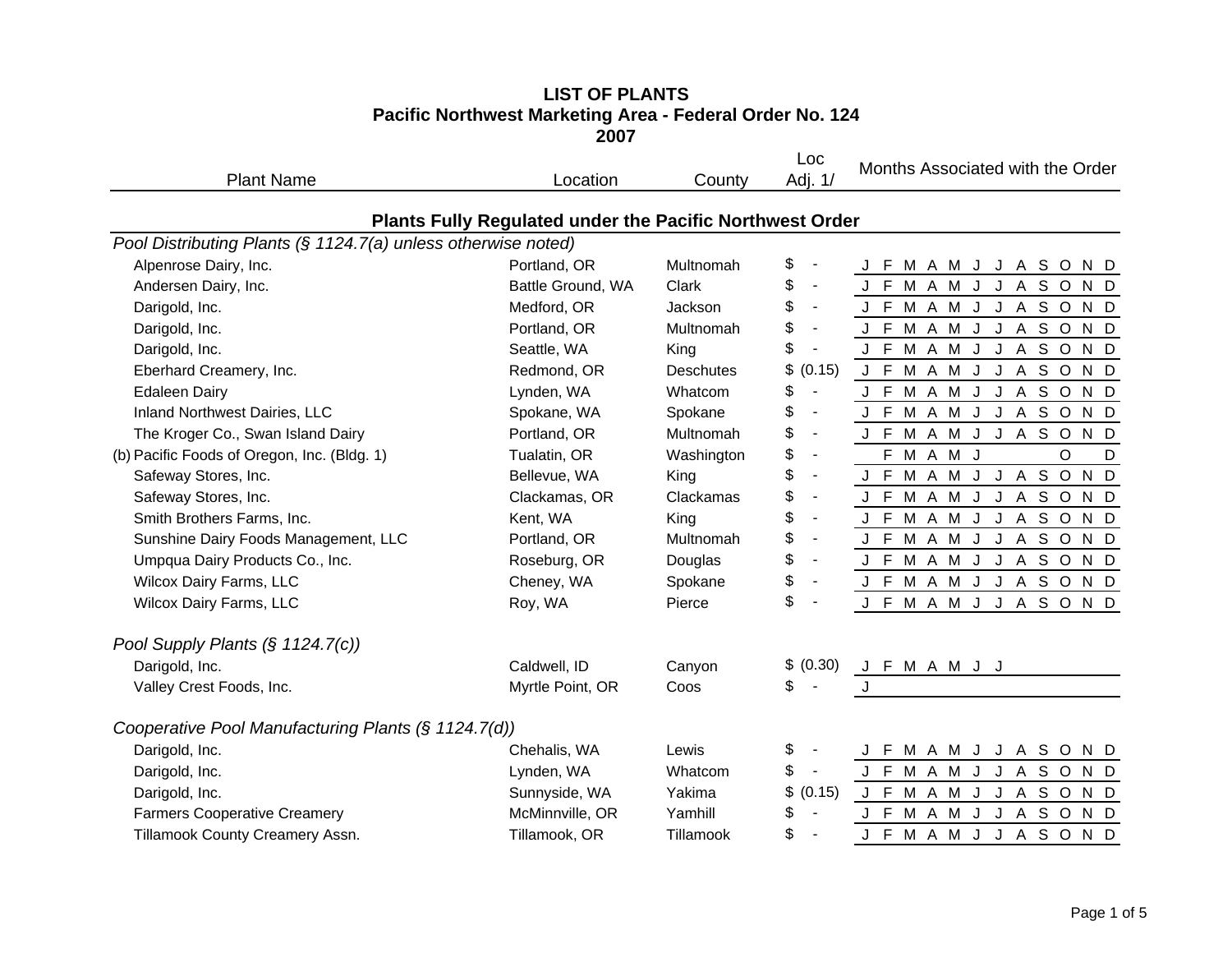# **LIST OF PLANTS Pacific Northwest Marketing Area - Federal Order No. 124 2007**

| <b>Plant Name</b>                                             | Location                                                        | County           | Loc<br>Adj. 1/                 | Months Associated with the Order |
|---------------------------------------------------------------|-----------------------------------------------------------------|------------------|--------------------------------|----------------------------------|
|                                                               | <b>Plants Fully Regulated under the Pacific Northwest Order</b> |                  |                                |                                  |
| Pool Distributing Plants (§ 1124.7(a) unless otherwise noted) |                                                                 |                  |                                |                                  |
| Alpenrose Dairy, Inc.                                         | Portland, OR                                                    | Multnomah        | \$                             | J F M A M J J A S O N D          |
| Andersen Dairy, Inc.                                          | Battle Ground, WA                                               | Clark            | \$<br>$\blacksquare$           | J F M A M J J A S O<br>N D       |
| Darigold, Inc.                                                | Medford, OR                                                     | Jackson          | \$<br>$\blacksquare$           | J F M A M J J A S O N D          |
| Darigold, Inc.                                                | Portland, OR                                                    | Multnomah        | \$<br>$\blacksquare$           | J F M A M J J A S O N D          |
| Darigold, Inc.                                                | Seattle, WA                                                     | King             | \$<br>$\overline{\phantom{a}}$ | J F M A M J J A S O N D          |
| Eberhard Creamery, Inc.                                       | Redmond, OR                                                     | <b>Deschutes</b> | \$<br>(0.15)                   | J F M A M J J A S O N D          |
| <b>Edaleen Dairy</b>                                          | Lynden, WA                                                      | Whatcom          | \$<br>$\blacksquare$           | J F M A M J J A S O N D          |
| Inland Northwest Dairies, LLC                                 | Spokane, WA                                                     | Spokane          | \$<br>$\overline{\phantom{a}}$ | J F M A M J J A S O N D          |
| The Kroger Co., Swan Island Dairy                             | Portland, OR                                                    | Multnomah        | \$<br>$\blacksquare$           | J F M A M J J A S O N D          |
| (b) Pacific Foods of Oregon, Inc. (Bldg. 1)                   | Tualatin, OR                                                    | Washington       | \$<br>$\blacksquare$           | F M A M J<br>$\circ$<br>D        |
| Safeway Stores, Inc.                                          | Bellevue, WA                                                    | King             | \$<br>$\blacksquare$           | J F M A M J J A S O<br>N D       |
| Safeway Stores, Inc.                                          | Clackamas, OR                                                   | Clackamas        | \$<br>$\blacksquare$           | J F M A M J J A S O N D          |
| Smith Brothers Farms, Inc.                                    | Kent, WA                                                        | King             | \$<br>$\overline{\phantom{a}}$ | J F M A M J J A S O N D          |
| Sunshine Dairy Foods Management, LLC                          | Portland, OR                                                    | Multnomah        | \$<br>$\blacksquare$           | J F M A M J J A S O N D          |
| Umpqua Dairy Products Co., Inc.                               | Roseburg, OR                                                    | Douglas          | \$<br>$\blacksquare$           | J F M A M J J A S O N D          |
| Wilcox Dairy Farms, LLC                                       | Cheney, WA                                                      | Spokane          | \$<br>$\blacksquare$           | J F M A M J J A S O N D          |
| <b>Wilcox Dairy Farms, LLC</b>                                | Roy, WA                                                         | Pierce           | \$<br>$\blacksquare$           | J F M A M J J A S O N D          |
| Pool Supply Plants (§ 1124.7(c))                              |                                                                 |                  |                                |                                  |
| Darigold, Inc.                                                | Caldwell, ID                                                    | Canyon           | \$ (0.30)                      | J F M A M J J                    |
| Valley Crest Foods, Inc.                                      | Myrtle Point, OR                                                | Coos             | \$                             | J                                |
| Cooperative Pool Manufacturing Plants (§ 1124.7(d))           |                                                                 |                  |                                |                                  |
| Darigold, Inc.                                                | Chehalis, WA                                                    | Lewis            | \$                             | J F M A M J J A S O<br>N D       |
| Darigold, Inc.                                                | Lynden, WA                                                      | Whatcom          | \$<br>$\overline{\phantom{a}}$ | J F M A M J J A S O<br>N D       |
| Darigold, Inc.                                                | Sunnyside, WA                                                   | Yakima           | \$<br>(0.15)                   | J F M A M J J A S O N D          |
| <b>Farmers Cooperative Creamery</b>                           | McMinnville, OR                                                 | Yamhill          | \$<br>$\overline{\phantom{a}}$ | J F M A M J J A S O<br>N D       |
| Tillamook County Creamery Assn.                               | Tillamook, OR                                                   | Tillamook        | \$                             | F M A M J J A S O N D<br>J       |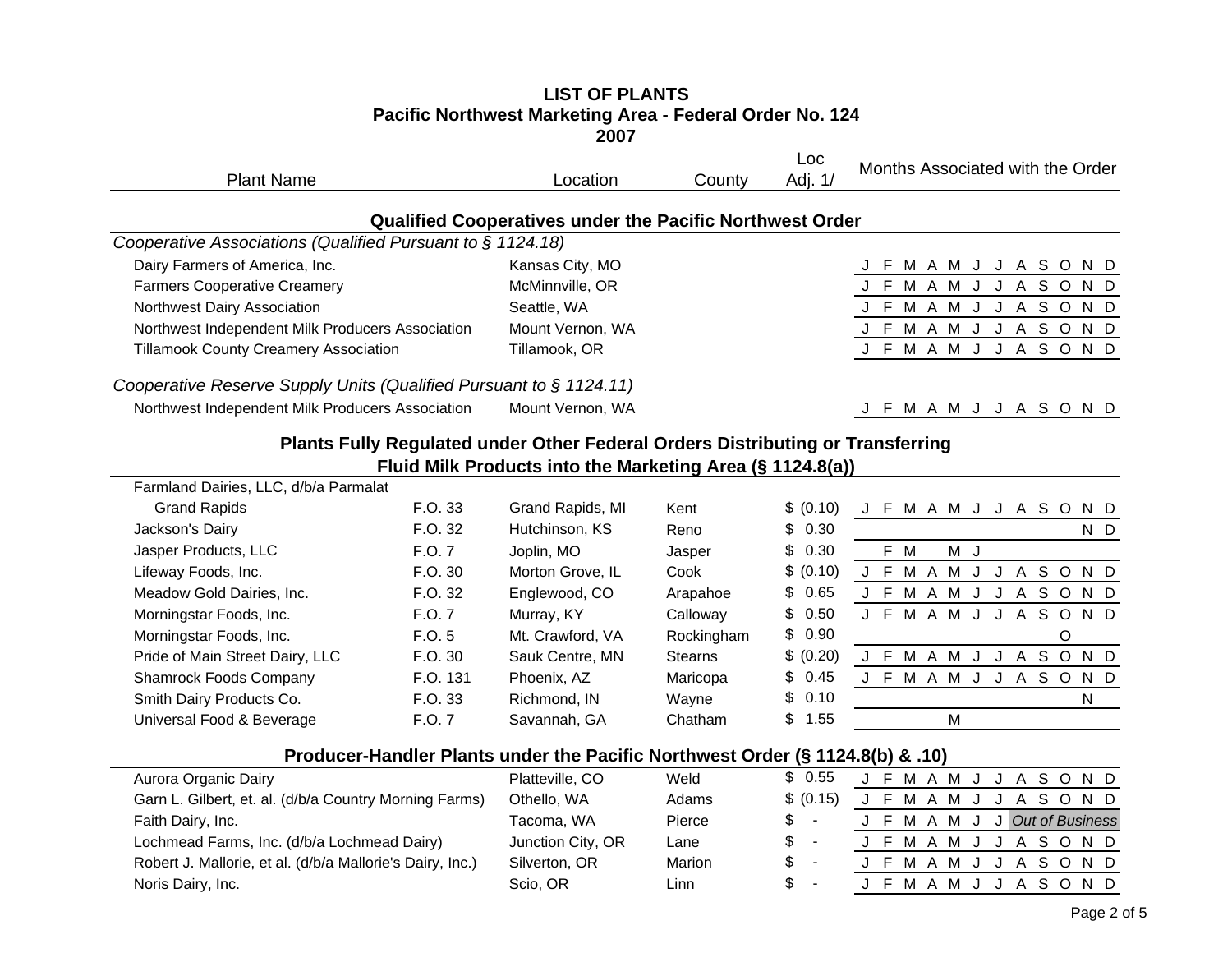#### **LIST OF PLANTS Pacific Northwest Marketing Area - Federal Order No. 124 2007**

| <b>Plant Name</b>                                                              | Location                                                        | County | Loc<br>Adj. 1/ |     |   |           |  |     |     | Months Associated with the Order |
|--------------------------------------------------------------------------------|-----------------------------------------------------------------|--------|----------------|-----|---|-----------|--|-----|-----|----------------------------------|
|                                                                                | <b>Qualified Cooperatives under the Pacific Northwest Order</b> |        |                |     |   |           |  |     |     |                                  |
| Cooperative Associations (Qualified Pursuant to $\S$ 1124.18)                  |                                                                 |        |                |     |   |           |  |     |     |                                  |
| Dairy Farmers of America, Inc.                                                 | Kansas City, MO                                                 |        |                |     |   |           |  |     |     | F M A M J J A S O N D            |
| <b>Farmers Cooperative Creamery</b>                                            | McMinnville, OR                                                 |        |                |     | M | A M       |  | A   | S O | N D                              |
| Northwest Dairy Association                                                    | Seattle, WA                                                     |        |                |     |   | F M A M J |  | A   | S O | N D                              |
| Northwest Independent Milk Producers Association                               | Mount Vernon, WA                                                |        |                |     |   | F M A M   |  |     |     | ASOND                            |
| <b>Tillamook County Creamery Association</b>                                   | Tillamook, OR                                                   |        |                | F M |   | AMJ       |  | A — | S.  | O N D                            |
| Cooperative Reserve Supply Units (Qualified Pursuant to § 1124.11)             |                                                                 |        |                |     |   |           |  |     |     |                                  |
| Northwest Independent Milk Producers Association                               | Mount Vernon, WA                                                |        |                |     |   |           |  |     |     | F M A M J J A S O N D            |
| Plants Fully Regulated under Other Federal Orders Distributing or Transferring |                                                                 |        |                |     |   |           |  |     |     |                                  |

# **Fluid Milk Products into the Marketing Area (§ 1124.8(a))**

| Farmland Dairies, LLC, d/b/a Parmalat |          |                  |                |           |    |     |   |     |  |   |    |         |   |     |
|---------------------------------------|----------|------------------|----------------|-----------|----|-----|---|-----|--|---|----|---------|---|-----|
| <b>Grand Rapids</b>                   | F.O. 33  | Grand Rapids, MI | Kent           | \$ (0.10) |    | M   | A | M   |  | A | S. | $\circ$ |   | N D |
| Jackson's Dairy                       | F.O. 32  | Hutchinson, KS   | Reno           | \$0.30    |    |     |   |     |  |   |    |         |   | N D |
| Jasper Products, LLC                  | F.O.7    | Joplin, MO       | Jasper         | \$0.30    |    | F M |   | M J |  |   |    |         |   |     |
| Lifeway Foods, Inc.                   | F.O. 30  | Morton Grove, IL | Cook           | \$ (0.10) | F. | м   | A | м   |  | A | S. | O       |   | N D |
| Meadow Gold Dairies, Inc.             | F.O. 32  | Englewood, CO    | Arapahoe       | \$0.65    | F. | м   | A | м   |  | A | S. | $\circ$ |   | N D |
| Morningstar Foods, Inc.               | F.O.7    | Murray, KY       | Calloway       | \$0.50    | F. | м   | A | м   |  | A | S. | $\circ$ |   | N D |
| Morningstar Foods, Inc.               | F.O. 5   | Mt. Crawford, VA | Rockingham     | \$0.90    |    |     |   |     |  |   |    | O       |   |     |
| Pride of Main Street Dairy, LLC       | F.O. 30  | Sauk Centre, MN  | <b>Stearns</b> | \$ (0.20) |    | м   | A | м   |  | A | S  | O       |   | N D |
| <b>Shamrock Foods Company</b>         | F.O. 131 | Phoenix, AZ      | Maricopa       | \$0.45    |    | M   | A | м   |  | A |    | S O     |   | N D |
| Smith Dairy Products Co.              | F.O. 33  | Richmond. IN     | Wavne          | \$0.10    |    |     |   |     |  |   |    |         | N |     |
| Universal Food & Beverage             | F.O.7    | Savannah, GA     | Chatham        | \$1.55    |    |     |   | M   |  |   |    |         |   |     |

## **Producer-Handler Plants under the Pacific Northwest Order (§ 1124.8(b) & .10)**

| Aurora Organic Dairy                                      | Platteville, CO   | Weld   | \$ 0.55        | J F M A M J J A S O N D       |  |  |  |  |  |  |
|-----------------------------------------------------------|-------------------|--------|----------------|-------------------------------|--|--|--|--|--|--|
| Garn L. Gilbert, et. al. (d/b/a Country Morning Farms)    | Othello, WA       | Adams  | \$ (0.15)      | J F M A M J J A S O N D       |  |  |  |  |  |  |
| Faith Dairy, Inc.                                         | Tacoma, WA        | Pierce | $s -$          | J F M A M J J Out of Business |  |  |  |  |  |  |
| Lochmead Farms, Inc. (d/b/a Lochmead Dairy)               | Junction City, OR | Lane   | $s -$          | J F M A M J J A S O N D       |  |  |  |  |  |  |
| Robert J. Mallorie, et al. (d/b/a Mallorie's Dairy, Inc.) | Silverton, OR     | Marion | $\mathbb{S}$ - | J F M A M J J A S O N D       |  |  |  |  |  |  |
| Noris Dairy, Inc.                                         | Scio, OR          | Linn   |                | J F M A M J J A S O N D       |  |  |  |  |  |  |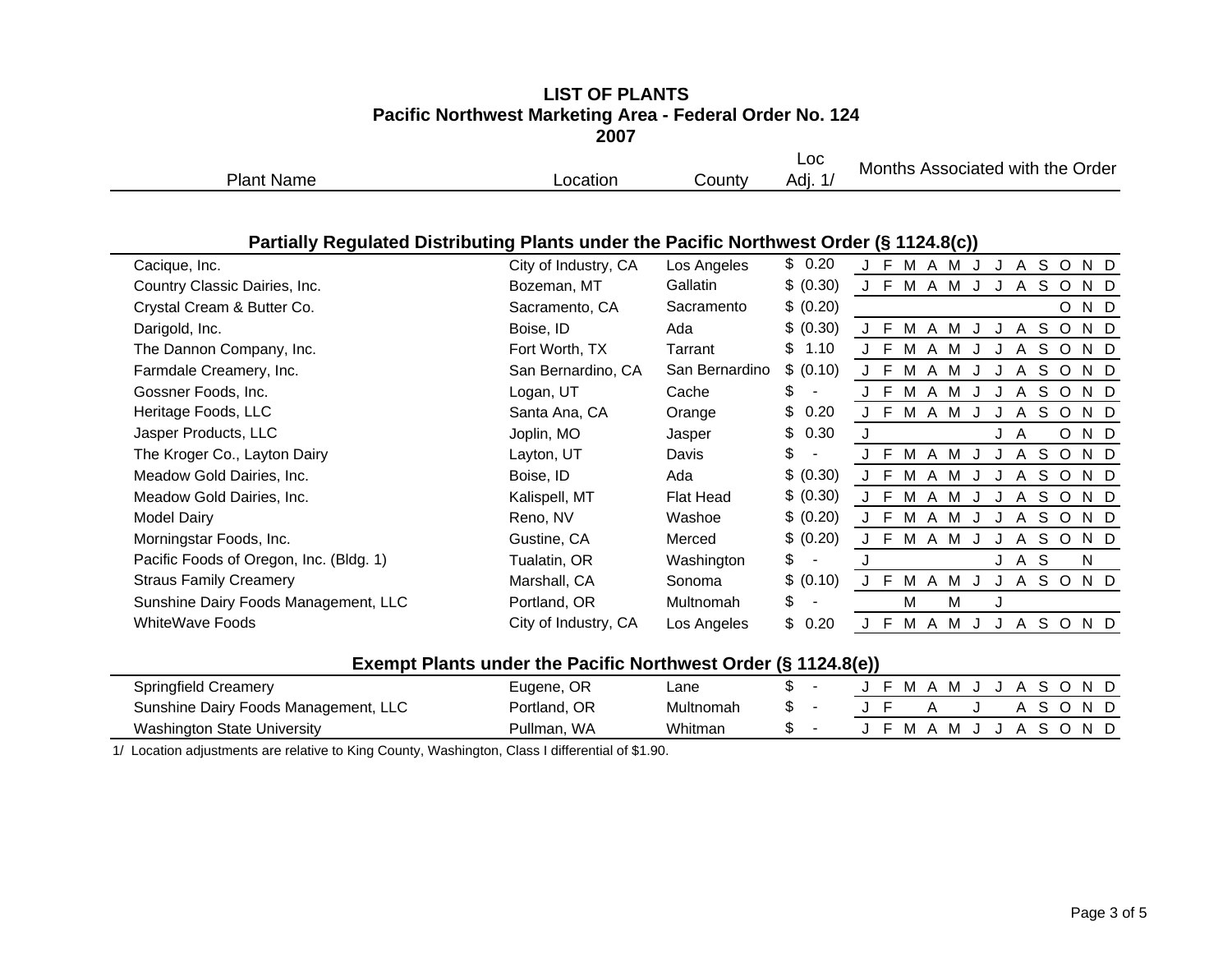#### **LIST OF PLANTSPacific Northwest Marketing Area - Federal Order No. 124 2007**

|            | ----           |           |                  |                                        |
|------------|----------------|-----------|------------------|----------------------------------------|
| Plant Name | <u>pcation</u> | ش∨ County | Loc<br>.<br>Adı. | Associated with the<br>Months<br>Order |
|            |                |           |                  |                                        |

## **Partially Regulated Distributing Plants under the Pacific Northwest Order (§ 1124.8(c))**

|                                         |                      |                |              | $    \prime$                                    |
|-----------------------------------------|----------------------|----------------|--------------|-------------------------------------------------|
| Cacique, Inc.                           | City of Industry, CA | Los Angeles    | \$0.20       | S O<br>F M A M<br>N D<br>A                      |
| Country Classic Dairies, Inc.           | Bozeman, MT          | Gallatin       | \$ (0.30)    | J F M A M J<br>A S O<br>N D<br>J                |
| Crystal Cream & Butter Co.              | Sacramento, CA       | Sacramento     | \$ (0.20)    | O N D                                           |
| Darigold, Inc.                          | Boise, ID            | Ada            | \$ (0.30)    | S O<br>N D<br>M A M<br>A<br>- F                 |
| The Dannon Company, Inc.                | Fort Worth, TX       | Tarrant        | \$<br>1.10   | A S O<br>M A M<br>N D<br>J F                    |
| Farmdale Creamery, Inc.                 | San Bernardino, CA   | San Bernardino | \$ (0.10)    | J F M A M<br>S O<br>N D<br>A                    |
| Gossner Foods, Inc.                     | Logan, UT            | Cache          | \$           | S O<br>- F<br>M A M<br>N D<br>A                 |
| Heritage Foods, LLC                     | Santa Ana, CA        | Orange         | \$<br>0.20   | J F<br>M A M<br>S O<br>N D<br>A                 |
| Jasper Products, LLC                    | Joplin, MO           | Jasper         | \$<br>0.30   | O N D<br>J A<br>J                               |
| The Kroger Co., Layton Dairy            | Layton, UT           | Davis          | \$           | M A M<br>SOND<br>-F<br>A                        |
| Meadow Gold Dairies, Inc.               | Boise, ID            | Ada            | \$ (0.30)    | M<br>- F<br>S O<br>N D<br>A M<br>A              |
| Meadow Gold Dairies, Inc.               | Kalispell, MT        | Flat Head      | \$ (0.30)    | -F<br>M<br>S O<br>$\mathsf{A}$<br>M<br>N D<br>A |
| Model Dairy                             | Reno, NV             | Washoe         | \$ (0.20)    | E<br>M<br>S.<br>N D<br>A<br>$\circ$<br>M<br>A   |
| Morningstar Foods, Inc.                 | Gustine, CA          | Merced         | \$ (0.20)    | S O<br>N D<br>F<br>M A<br>M<br>$\mathsf{A}$     |
| Pacific Foods of Oregon, Inc. (Bldg. 1) | Tualatin, OR         | Washington     | $\mathsf{S}$ | J A S<br>N.                                     |
| <b>Straus Family Creamery</b>           | Marshall, CA         | Sonoma         | \$ (0.10)    | -F<br>A S O<br>MA.<br>ND.<br>M                  |
| Sunshine Dairy Foods Management, LLC    | Portland, OR         | Multnomah      | \$           | M<br>м<br>J                                     |
| <b>WhiteWave Foods</b>                  | City of Industry, CA | Los Angeles    | \$<br>0.20   | SO.<br>F<br>M A<br>M<br>$\mathsf{A}$<br>ND.     |
|                                         |                      |                |              |                                                 |

### **Exempt Plants under the Pacific Northwest Order (§ 1124.8(e))**

|                                      |              |           | . |  |    |          |  |  |      |  |
|--------------------------------------|--------------|-----------|---|--|----|----------|--|--|------|--|
| Springfield Creamery                 | Eugene, OR   | ∟ane      |   |  |    | $\Delta$ |  |  | - N- |  |
| Sunshine Dairy Foods Management, LLC | Portland, OR | Multnomah | ъ |  |    |          |  |  | - N  |  |
| Washington State University          | Pullman, WA  | Whitman   |   |  | M. | $\Delta$ |  |  | N.   |  |

1/ Location adjustments are relative to King County, Washington, Class I differential of \$1.90.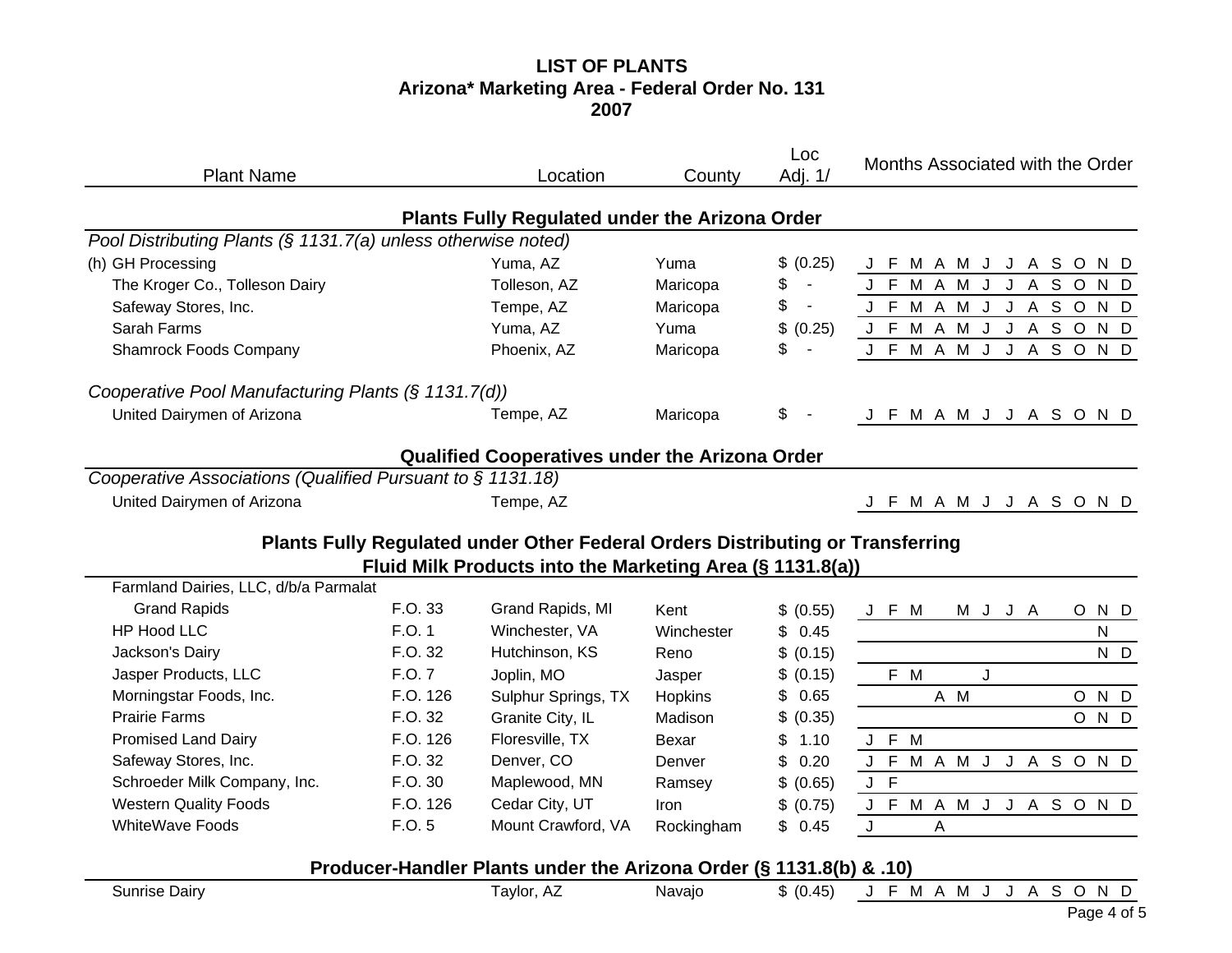# **LIST OF PLANTS Arizona\* Marketing Area - Federal Order No. 131 2007**

| <b>Plant Name</b>                                             |          | Location                                                                       | County      | Loc<br>Adj. 1/       | Months Associated with the Order       |
|---------------------------------------------------------------|----------|--------------------------------------------------------------------------------|-------------|----------------------|----------------------------------------|
|                                                               |          | <b>Plants Fully Regulated under the Arizona Order</b>                          |             |                      |                                        |
| Pool Distributing Plants (§ 1131.7(a) unless otherwise noted) |          |                                                                                |             |                      |                                        |
| (h) GH Processing                                             |          | Yuma, AZ                                                                       | Yuma        | \$ (0.25)            | J F M A M J J A S O N D                |
| The Kroger Co., Tolleson Dairy                                |          | Tolleson, AZ                                                                   | Maricopa    | \$<br>$\blacksquare$ | M A M<br>J<br>A S O<br>J<br>N D<br>J F |
| Safeway Stores, Inc.                                          |          | Tempe, AZ                                                                      | Maricopa    | \$<br>$\blacksquare$ | J F M A M J<br>J A S O<br>N D          |
| Sarah Farms                                                   |          | Yuma, AZ                                                                       | Yuma        | \$<br>(0.25)         | J F M A M J J A S O N D                |
| <b>Shamrock Foods Company</b>                                 |          | Phoenix, AZ                                                                    | Maricopa    | \$<br>$\blacksquare$ | J F M A M J<br>J A S O N D             |
| Cooperative Pool Manufacturing Plants (§ 1131.7(d))           |          |                                                                                |             |                      |                                        |
| United Dairymen of Arizona                                    |          | Tempe, AZ                                                                      | Maricopa    | \$                   | J F M A M J J A S O N D                |
|                                                               |          | <b>Qualified Cooperatives under the Arizona Order</b>                          |             |                      |                                        |
| Cooperative Associations (Qualified Pursuant to § 1131.18)    |          |                                                                                |             |                      |                                        |
| United Dairymen of Arizona                                    |          | Tempe, AZ                                                                      |             |                      | J F M A M J J A S O N D                |
|                                                               |          | Plants Fully Regulated under Other Federal Orders Distributing or Transferring |             |                      |                                        |
| Farmland Dairies, LLC, d/b/a Parmalat                         |          | Fluid Milk Products into the Marketing Area (§ 1131.8(a))                      |             |                      |                                        |
| <b>Grand Rapids</b>                                           | F.O. 33  | Grand Rapids, MI                                                               | Kent        | \$ (0.55)            | J F M<br>$\circ$<br>N D<br>M J<br>J A  |
| <b>HP Hood LLC</b>                                            | F.O. 1   | Winchester, VA                                                                 | Winchester  | \$0.45               | $\mathsf{N}$                           |
| Jackson's Dairy                                               | F.O. 32  | Hutchinson, KS                                                                 | Reno        | \$ (0.15)            | N D                                    |
| Jasper Products, LLC                                          | F.O. 7   | Joplin, MO                                                                     | Jasper      | \$ (0.15)            | F M<br>J                               |
| Morningstar Foods, Inc.                                       | F.O. 126 | Sulphur Springs, TX                                                            | Hopkins     | \$<br>0.65           | A M<br>O N D                           |
| <b>Prairie Farms</b>                                          | F.O. 32  | Granite City, IL                                                               | Madison     | \$<br>(0.35)         | O N D                                  |
| <b>Promised Land Dairy</b>                                    | F.O. 126 | Floresville, TX                                                                | Bexar       | \$<br>1.10           | J F M                                  |
| Safeway Stores, Inc.                                          | F.O. 32  | Denver, CO                                                                     | Denver      | \$<br>0.20           | J F M A M J J A S O N D                |
| Schroeder Milk Company, Inc.                                  | F.O. 30  | Maplewood, MN                                                                  | Ramsey      | \$ (0.65)            | J F                                    |
| <b>Western Quality Foods</b>                                  | F.O. 126 | Cedar City, UT                                                                 | <b>Iron</b> | \$ (0.75)            | J F M A M J J A S O N D                |
| <b>WhiteWave Foods</b>                                        | F.O. 5   | Mount Crawford, VA                                                             | Rockingham  | \$0.45               | J<br>A                                 |
|                                                               |          | Producer-Handler Plants under the Arizona Order (§ 1131.8(b) & .10)            |             |                      |                                        |
| <b>Sunrise Dairy</b>                                          |          | Taylor, AZ                                                                     | Navajo      | \$ (0.45)            | J F M A M J J A S O N D                |